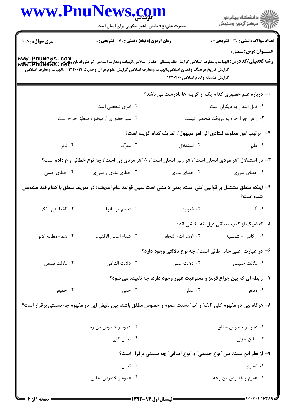|                       | www.PnuNews.com                                                                                                                                                                                                                                                                                                                               |                                                                          |                                                |
|-----------------------|-----------------------------------------------------------------------------------------------------------------------------------------------------------------------------------------------------------------------------------------------------------------------------------------------------------------------------------------------|--------------------------------------------------------------------------|------------------------------------------------|
|                       | حضرت علی(ع): دانش راهبر نیکویی برای ایمان است                                                                                                                                                                                                                                                                                                 |                                                                          | الاد دانشگاه پيام نور<br>الاستمرکز آزمون وسنجش |
| سری سوال: یک ۱        | زمان آزمون (دقیقه) : تستی : 60 ٪ تشریحی : 0                                                                                                                                                                                                                                                                                                   |                                                                          | <b>تعداد سوالات : تستی : 30 ٪ تشریحی : 0</b>   |
|                       |                                                                                                                                                                                                                                                                                                                                               |                                                                          | <b>عنـــوان درس:</b> منطق ۱                    |
|                       | لاسي الكروبي لاستان و معارف اسلامي گرايش فقه ومباني حقوق اسلامي،الهيات ومعارف اسلامي گرايش اديان وغرفان،الهيات ومعارف<br>بالمسيد المسيح العبرية المسيح العباري المسيح المسيح المسيح المي المسيح المسيح المسيح المسيح المسيح المس<br>گرایش تاریخ فرهنگ وتمدن اسلامی،الهیات ومعارف اسلامی گرایش علوم قرآن وحدیث ۱۲۲۰۰۱۹ - ،الهیات ومعارف اسلامی |                                                                          |                                                |
|                       |                                                                                                                                                                                                                                                                                                                                               | گرایش فلسفه وکلام اسلامی۱۲۲۰۴۶۰                                          |                                                |
|                       |                                                                                                                                                                                                                                                                                                                                               | ا- درباره علم حضوری کدام یک از گزینه ها نادرست می باشد؟                  |                                                |
|                       | ۰۲ امری شخصی است                                                                                                                                                                                                                                                                                                                              |                                                                          | ٠١ قابل انتقال به ديگران است                   |
|                       | ۰۴ علم حضوری از موضوع منطق خارج است                                                                                                                                                                                                                                                                                                           |                                                                          | ۰۳ راهی جز ارجاع به دریافت شخصی نیست           |
|                       |                                                                                                                                                                                                                                                                                                                                               | ٢- ″ترتيب امور معلومه للتادي الى امر مجهول″؛ تعريف كدام گزينه است؟       |                                                |
| ۰۴ فکر                | ۰۳ معرّف                                                                                                                                                                                                                                                                                                                                      | ۰۲ استدلال                                                               | ۰۱ علم                                         |
|                       | <b>۳</b> - در استدلال "هر مردی انسان است"/"هر زنی انسان است"/ <sup></sup> "هر مردی زن است"؛ چه نوع خطائی رخ داده است؟                                                                                                                                                                                                                         |                                                                          |                                                |
| ۰۴ خطای حسی           | ۰۳ خطای مادی و صوری                                                                                                                                                                                                                                                                                                                           | ۰۲ خطای مادی                                                             | ۰۱ خطای صوری                                   |
|                       | ۴– اینکه منطق مشتمل بر قوانین کلی است، یعنی دانشی است مبین قواعد عام اندیشه؛ در تعریف منطق با کدام قید مشخص                                                                                                                                                                                                                                   |                                                                          | شده است؟                                       |
| ۰۴ الخطا في الفكر     | ۰۳ تعصم مراعاتها                                                                                                                                                                                                                                                                                                                              | ۰۲ قانونيه                                                               | ۰۱ آله                                         |
|                       |                                                                                                                                                                                                                                                                                                                                               |                                                                          | ۵– کدامیک از کتب منطقی ذیل، نه بخشی اند؟       |
| ۴. شفا– مطالع الانوار | ٠٣ شفا- اساس الاقتباس                                                                                                                                                                                                                                                                                                                         | ٢. الاشارات- النجاه                                                      | ۰۱ ارگانون - شمسیه                             |
|                       |                                                                                                                                                                                                                                                                                                                                               | ۶- در عبارت "علی حاتم طائی است"، چه نوع دلالتی وجود دارد؟                |                                                |
| ۰۴ دلالت تضمن         | ۰۳ دلالت التزامي                                                                                                                                                                                                                                                                                                                              | ۰۲ دلالت عقلی                                                            | ۰۱ دلالت حقیقی                                 |
|                       |                                                                                                                                                                                                                                                                                                                                               | ۷- رابطه ای که بین چراغ قرمز و ممنوعیت عبور وجود دارد، چه نامیده می شود؟ |                                                |
| ۰۴ حقیقی              | ۰۳ خفی                                                                                                                                                                                                                                                                                                                                        | ۰۲ عقلی                                                                  | ۰۱ وضعی                                        |
|                       | ۸– هرگاه بین دو مفهوم کلی "الف" و "ب" نسبت عموم و خصوص مطلق باشد، بین نقیض این دو مفهوم چه نسبتی برقرار است؟                                                                                                                                                                                                                                  |                                                                          |                                                |
|                       | ۰۲ عموم و خصوص من وجه                                                                                                                                                                                                                                                                                                                         |                                                                          | ٠١ عموم و خصوص مطلق                            |
|                       | ۰۴ تباین کلی                                                                                                                                                                                                                                                                                                                                  |                                                                          | ۰۳ تباین جزئی                                  |
|                       |                                                                                                                                                                                                                                                                                                                                               | ۹- از نظر ابن سینا، بین "نوع حقیقی" و "نوع اضافی" چه نسبتی برقرار است؟   |                                                |
|                       | ۰۲ تباین                                                                                                                                                                                                                                                                                                                                      |                                                                          | ۰۱ تساوي                                       |
|                       | ۰۴ عموم و خصوص مطلق                                                                                                                                                                                                                                                                                                                           |                                                                          | ۰۳ عموم و خصوص من وجه                          |
|                       |                                                                                                                                                                                                                                                                                                                                               |                                                                          |                                                |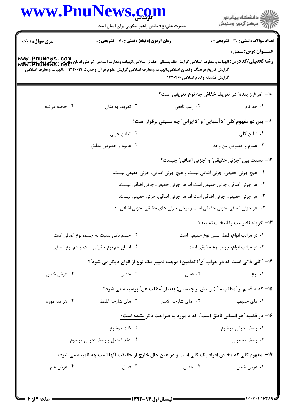## www.PnuNews.com

.<br>گ دانشگاه پیام نو**ر** أأأأأ مركز آزمون وسنجش حضرت علی(ع): دانش راهبر نیکویی برای ایمان است **تعداد سوالات : تستی : 30 ٪ تشریحی : 0 سری سوال : ۱ یک زمان آزمون (دقیقه) : تستی : 60 گشریحی: 0 عنــوان درس: منطق ۱** www . PnuNews , Com<br>رشته تحصیلی/کد درس:الهیات و معارف اسلامی گرایش فقه ومبانی حقوق اسلامی،الهیات ومعارف اسلامی گرایش ادیان وغرفان،الهیات ومعارف<br>www . PnuNews . net گرايش تاريخ فرهنگ وتمدن اسلامي،الهيات ومعارف اسلامي گرايش علوم قرآن وحديث ١٢٢٠٠١٩ - ،الهيات ومعارف اسلامي گرایش فلسفه وکلام اسلامی1۲۲۰۴۶۰ ∙ا− ″مرغ زاینده″ در تعریف خفاش چه نوع تعریفی است؟ ۰۴ خاصه مرکبه ۰۳ تعریف به مثال ۰۲ , سم ناقص ۰۱ حد تام 11- بين دو مفهوم كلي "لاآسيايي" و "لاايراني" چه نسبتي برقرار است؟ ۰۲ تباین جزئی ۰۱ تباین کلی ۰۴ عموم و خصوص مطلق ۰۳ عموم و خصوص من وجه ١٢- نسبت بين "جزئي حقيقي" و "جزئي اضافي" چيست؟ ١. هيچ جزئي حقيقي، جزئي اضافي نيست و هيچ جزئي اضافي، جزئي حقيقي نيست. ۰۲ هر جزئي اضافي، جزئي حقيقي است اما هر جزئي حقيقي، جزئي اضافي نيست. ۰۳ هر جزئي حقيقي، جزئي اضافي است اما هر جزئي اضافي، جزئي حقيقي نيست. ۰۴ هر جزئي اضافي، جزئي حقيقي است و برخي جزئي هاي حقيقي، جزئي اضافي اند **۱۳**- گزینه نادرست را انتخاب نمایید؟ ۰۲ جسم نامی نسبت به جسم، نوع اضافی است ٠١ در مراتب انواع، فقط انسان نوع حقيقي است ۰۴ انسان هم نوع حقیقی است و هم نوع اضافی ۰۳ در مراتب انواع، جوهر نوع حقيقي است 1۴- ″كلي ذاتي است كه در جواب أيَّ (كدامين) موجب تمييز يك نوع از انواع ديگر مي شود″؟ ۰۴ عرض خاص ۰۳ جنس ۰۲ فصا ۰۱ نوع 1۵– كدام قسم از "مطلب ما" (پرسش از چیستی) بعد از "مطلب هل" پرسیده می شود؟ ۰۳ مای شارحه اللفظ ۰۲ مای شا<sub>ر</sub>حه الاسم ۰۱ مای حقیقیه ۰۴ هر سه مورد ۱۶- در قضیه "هر انسانی ناطق است"، کدام مورد به صراحت ذکر نشده است؟ ۰۲ ذات موضوع ٠١. وصف عنواني موضوع ۰۴ عقد الحمل و وصف عنواني موضوع ۰۳ وصف محمولی ۱۷- مفهوم کلی که مختص افراد یک کلی است و در عین حال خارج از حقیقت آنها است چه نامیده می شود؟ ۰۳ فصل ۰۴ عرض عام ۰۲ جنس ۰۱ عرض خاص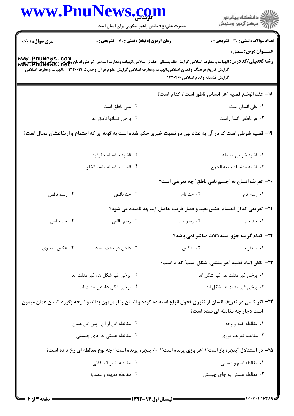|                              | www.PnuNews.com                                                                                                                                                                                                                                                                                  |                                                                                                          |                                                     |
|------------------------------|--------------------------------------------------------------------------------------------------------------------------------------------------------------------------------------------------------------------------------------------------------------------------------------------------|----------------------------------------------------------------------------------------------------------|-----------------------------------------------------|
|                              | حضرت علی(ع): دانش راهبر نیکویی برای ایمان است                                                                                                                                                                                                                                                    |                                                                                                          | ِ<br>∭ دانشڪاه پيام نور<br>∭ مرڪز آزمون وسنڊش       |
| <b>سری سوال : ۱</b> یک       | زمان آزمون (دقیقه) : تستی : 60 ٪ تشریحی : 0                                                                                                                                                                                                                                                      |                                                                                                          | <b>تعداد سوالات : تستي : 30 ٪ تشريحي : 0</b>        |
|                              |                                                                                                                                                                                                                                                                                                  |                                                                                                          | عنــوان درس: منطق ۱                                 |
|                              | <b>رشته تحصیلی/کد درس:</b> الهیات و معارف اسلامی گرایش فقه ومبانی حقوق اسلامی،الهیات ومعارف اسلامی گرایش ادیان وعرفان،الهیات ومعارف<br>Www . PIIUNewS . Net<br>Www . PIIUNewS . Net<br>گرایش تاریخ فرهنگ وتمدن اسلامی،الهیات ومعارف اسلامی گرایش علوم قرآن وحدیث ۱۲۲۰۰۱۹ - ،الهیات ومعارف اسلامی |                                                                                                          |                                                     |
|                              |                                                                                                                                                                                                                                                                                                  | گرایش فلسفه وکلام اسلامی۱۲۲۰۴۶۰                                                                          |                                                     |
|                              |                                                                                                                                                                                                                                                                                                  | 1۸– عقد الوضع قضيه ″هر انساني ناطق است″، كدام است؟                                                       |                                                     |
|                              | ۰۲ علی ناطق است                                                                                                                                                                                                                                                                                  |                                                                                                          | ٠١ على انسان است                                    |
|                              | ۰۴ برخی انسانها ناطق اند                                                                                                                                                                                                                                                                         |                                                                                                          | ۰۳ هر ناطقی انسان است                               |
|                              | ۱۹- قضیه شرطی است که در آن به عناد بین دو نسبت خبری حکم شده است به گونه ای که اجتماع و ارتفاعشان محال است؟                                                                                                                                                                                       |                                                                                                          |                                                     |
|                              |                                                                                                                                                                                                                                                                                                  |                                                                                                          |                                                     |
|                              | ٢. قضيه منفصله حقيقيه                                                                                                                                                                                                                                                                            |                                                                                                          | ٠١ قضيه شرطي متصله                                  |
|                              | ۰۴ قضيه منفصله مانعه الخلو                                                                                                                                                                                                                                                                       |                                                                                                          | ٠٣ قضيه منفصله مانعه الجمع                          |
|                              |                                                                                                                                                                                                                                                                                                  | <b>۲۰</b> - تعریف انسان به "جسم نامی ناطق" چه تعریفی است؟                                                |                                                     |
| ۰۴ رسم ناقص                  | ۰۳ حد ناقص                                                                                                                                                                                                                                                                                       | ۰۲ حد تام                                                                                                | ٠١. رسم تام                                         |
|                              |                                                                                                                                                                                                                                                                                                  | <b>3- تعریفی که از انضمام جنس بعید و فصل قریب حاصل آید چه نامیده می شود؟</b>                             |                                                     |
| ۰۴ حد ناقص                   | ۰۳ رسم ناقص                                                                                                                                                                                                                                                                                      | ۰۲ رسم تام                                                                                               | ۰۱ حد تام                                           |
|                              |                                                                                                                                                                                                                                                                                                  |                                                                                                          | <b>3۲- کدام گزینه جزو استدلالات مباشر نمی باشد؟</b> |
| ۰۴ عکس مستوی                 | ۰۳ داخل در تحت تضاد                                                                                                                                                                                                                                                                              | ۰۲ تناقض                                                                                                 | ٠١. استقراء                                         |
|                              |                                                                                                                                                                                                                                                                                                  | ٢٣- نقض التام قضيه "هر مثلثي، شكل است" كدام است؟                                                         |                                                     |
|                              | ۰۲ برخی غیر شکل ها، غیر مثلث اند                                                                                                                                                                                                                                                                 |                                                                                                          | ٠١. برخي غير مثلث ها، غير شكل اند                   |
| ۰۴ برخی شکل ها، غیر مثلث اند |                                                                                                                                                                                                                                                                                                  | ۰۳ برخی غیر مثلث ها، شکل اند                                                                             |                                                     |
|                              | ۲۴– اگر کسی در تعریف انسان از تئوری تحول انواع استفاده کرده و انسان را از میمون بداند و نتیجه بگیرد انسان همان میمون                                                                                                                                                                             |                                                                                                          |                                                     |
|                              |                                                                                                                                                                                                                                                                                                  |                                                                                                          | است دچار چه مغالطه ای شده است؟                      |
|                              | ۰۲ مغالطه این از آن- پس این همان                                                                                                                                                                                                                                                                 |                                                                                                          | ۰۱ مغالطه کنه و وجه                                 |
|                              | ۰۴ مغالطه هستی به جای چیستی                                                                                                                                                                                                                                                                      |                                                                                                          | ۰۳ مغالطه تعریف دوری                                |
|                              |                                                                                                                                                                                                                                                                                                  | ۲۵- در استدلال ″پنجره باز است″ / ″هر بازی پرنده است″ / ∵ پنجره پرنده است″؛ چه نوع مغالطه ای رخ داده است؟ |                                                     |
|                              |                                                                                                                                                                                                                                                                                                  |                                                                                                          |                                                     |
|                              | ۰۲ مغالطه اشتراک لفظی                                                                                                                                                                                                                                                                            |                                                                                                          | ۰۱ مغالطه اسم و مسمى                                |